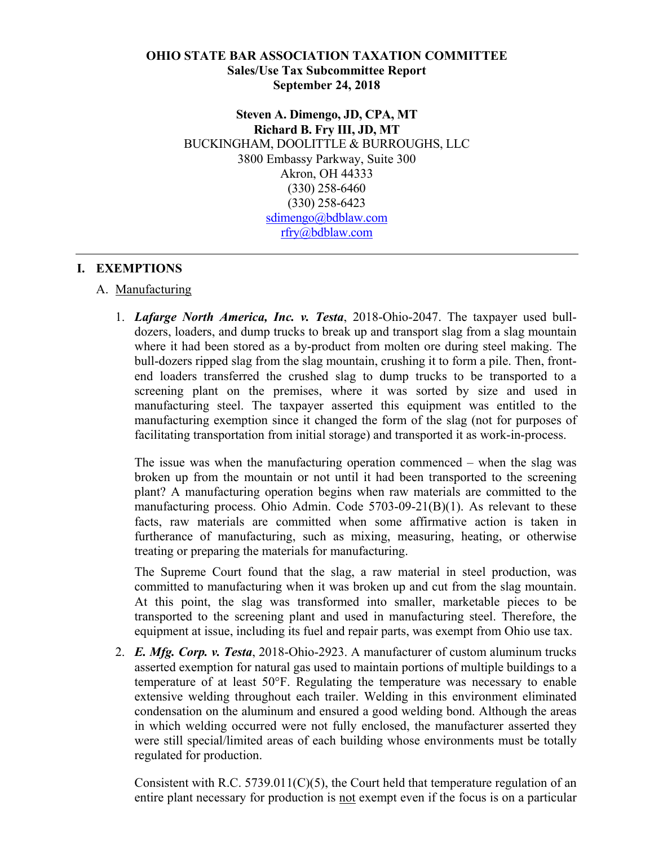## **OHIO STATE BAR ASSOCIATION TAXATION COMMITTEE Sales/Use Tax Subcommittee Report September 24, 2018**

**Steven A. Dimengo, JD, CPA, MT Richard B. Fry III, JD, MT**  BUCKINGHAM, DOOLITTLE & BURROUGHS, LLC 3800 Embassy Parkway, Suite 300 Akron, OH 44333 (330) 258-6460 (330) 258-6423 sdimengo@bdblaw.com rfry@bdblaw.com

## **I. EXEMPTIONS**

### A. Manufacturing

1. *Lafarge North America, Inc. v. Testa*, 2018-Ohio-2047. The taxpayer used bulldozers, loaders, and dump trucks to break up and transport slag from a slag mountain where it had been stored as a by-product from molten ore during steel making. The bull-dozers ripped slag from the slag mountain, crushing it to form a pile. Then, frontend loaders transferred the crushed slag to dump trucks to be transported to a screening plant on the premises, where it was sorted by size and used in manufacturing steel. The taxpayer asserted this equipment was entitled to the manufacturing exemption since it changed the form of the slag (not for purposes of facilitating transportation from initial storage) and transported it as work-in-process.

The issue was when the manufacturing operation commenced – when the slag was broken up from the mountain or not until it had been transported to the screening plant? A manufacturing operation begins when raw materials are committed to the manufacturing process. Ohio Admin. Code 5703-09-21(B)(1). As relevant to these facts, raw materials are committed when some affirmative action is taken in furtherance of manufacturing, such as mixing, measuring, heating, or otherwise treating or preparing the materials for manufacturing.

The Supreme Court found that the slag, a raw material in steel production, was committed to manufacturing when it was broken up and cut from the slag mountain. At this point, the slag was transformed into smaller, marketable pieces to be transported to the screening plant and used in manufacturing steel. Therefore, the equipment at issue, including its fuel and repair parts, was exempt from Ohio use tax.

2. *E. Mfg. Corp. v. Testa*, 2018-Ohio-2923. A manufacturer of custom aluminum trucks asserted exemption for natural gas used to maintain portions of multiple buildings to a temperature of at least 50°F. Regulating the temperature was necessary to enable extensive welding throughout each trailer. Welding in this environment eliminated condensation on the aluminum and ensured a good welding bond. Although the areas in which welding occurred were not fully enclosed, the manufacturer asserted they were still special/limited areas of each building whose environments must be totally regulated for production.

Consistent with R.C. 5739.011(C)(5), the Court held that temperature regulation of an entire plant necessary for production is not exempt even if the focus is on a particular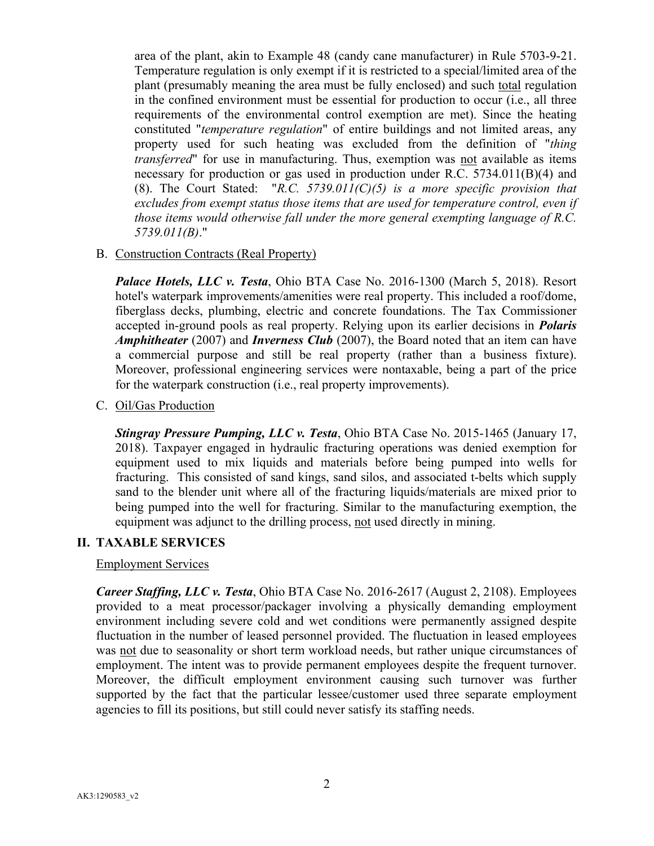area of the plant, akin to Example 48 (candy cane manufacturer) in Rule 5703-9-21. Temperature regulation is only exempt if it is restricted to a special/limited area of the plant (presumably meaning the area must be fully enclosed) and such total regulation in the confined environment must be essential for production to occur (i.e., all three requirements of the environmental control exemption are met). Since the heating constituted "*temperature regulation*" of entire buildings and not limited areas, any property used for such heating was excluded from the definition of "*thing transferred*" for use in manufacturing. Thus, exemption was not available as items necessary for production or gas used in production under R.C. 5734.011(B)(4) and (8). The Court Stated: "*R.C. 5739.011(C)(5) is a more specific provision that excludes from exempt status those items that are used for temperature control, even if those items would otherwise fall under the more general exempting language of R.C. 5739.011(B)*."

## B. Construction Contracts (Real Property)

*Palace Hotels, LLC v. Testa*, Ohio BTA Case No. 2016-1300 (March 5, 2018). Resort hotel's waterpark improvements/amenities were real property. This included a roof/dome, fiberglass decks, plumbing, electric and concrete foundations. The Tax Commissioner accepted in-ground pools as real property. Relying upon its earlier decisions in *Polaris Amphitheater* (2007) and *Inverness Club* (2007), the Board noted that an item can have a commercial purpose and still be real property (rather than a business fixture). Moreover, professional engineering services were nontaxable, being a part of the price for the waterpark construction (i.e., real property improvements).

### C. Oil/Gas Production

*Stingray Pressure Pumping, LLC v. Testa*, Ohio BTA Case No. 2015-1465 (January 17, 2018). Taxpayer engaged in hydraulic fracturing operations was denied exemption for equipment used to mix liquids and materials before being pumped into wells for fracturing. This consisted of sand kings, sand silos, and associated t-belts which supply sand to the blender unit where all of the fracturing liquids/materials are mixed prior to being pumped into the well for fracturing. Similar to the manufacturing exemption, the equipment was adjunct to the drilling process, not used directly in mining.

### **II. TAXABLE SERVICES**

### Employment Services

*Career Staffing, LLC v. Testa*, Ohio BTA Case No. 2016-2617 (August 2, 2108). Employees provided to a meat processor/packager involving a physically demanding employment environment including severe cold and wet conditions were permanently assigned despite fluctuation in the number of leased personnel provided. The fluctuation in leased employees was not due to seasonality or short term workload needs, but rather unique circumstances of employment. The intent was to provide permanent employees despite the frequent turnover. Moreover, the difficult employment environment causing such turnover was further supported by the fact that the particular lessee/customer used three separate employment agencies to fill its positions, but still could never satisfy its staffing needs.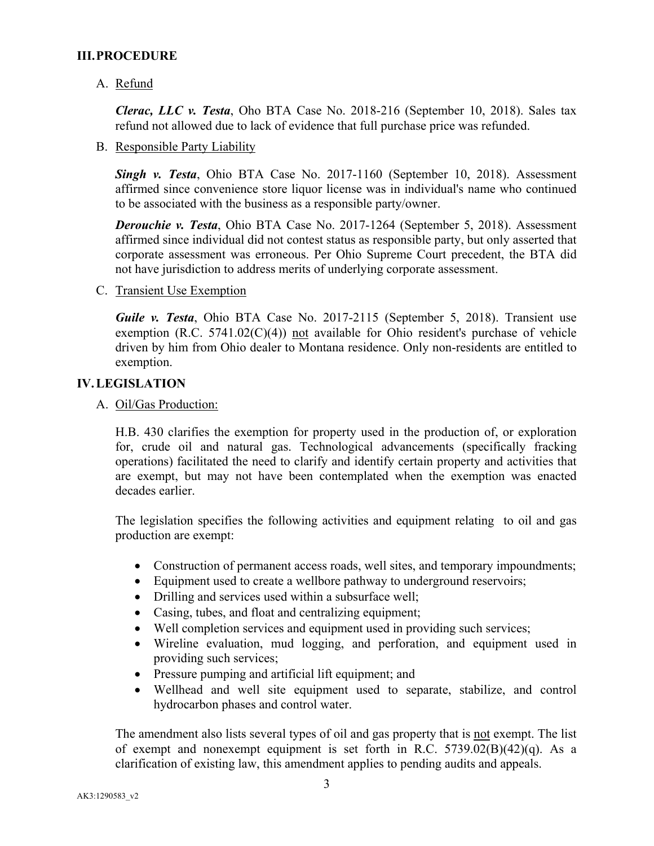#### **III.PROCEDURE**

A. Refund

*Clerac, LLC v. Testa*, Oho BTA Case No. 2018-216 (September 10, 2018). Sales tax refund not allowed due to lack of evidence that full purchase price was refunded.

B. Responsible Party Liability

*Singh v. Testa*, Ohio BTA Case No. 2017-1160 (September 10, 2018). Assessment affirmed since convenience store liquor license was in individual's name who continued to be associated with the business as a responsible party/owner.

*Derouchie v. Testa*, Ohio BTA Case No. 2017-1264 (September 5, 2018). Assessment affirmed since individual did not contest status as responsible party, but only asserted that corporate assessment was erroneous. Per Ohio Supreme Court precedent, the BTA did not have jurisdiction to address merits of underlying corporate assessment.

#### C. Transient Use Exemption

*Guile v. Testa*, Ohio BTA Case No. 2017-2115 (September 5, 2018). Transient use exemption  $(R.C. 5741.02(C)(4))$  not available for Ohio resident's purchase of vehicle driven by him from Ohio dealer to Montana residence. Only non-residents are entitled to exemption.

#### **IV.LEGISLATION**

A. Oil/Gas Production:

H.B. 430 clarifies the exemption for property used in the production of, or exploration for, crude oil and natural gas. Technological advancements (specifically fracking operations) facilitated the need to clarify and identify certain property and activities that are exempt, but may not have been contemplated when the exemption was enacted decades earlier.

The legislation specifies the following activities and equipment relating to oil and gas production are exempt:

- Construction of permanent access roads, well sites, and temporary impoundments;
- Equipment used to create a wellbore pathway to underground reservoirs;
- Drilling and services used within a subsurface well;
- Casing, tubes, and float and centralizing equipment;
- Well completion services and equipment used in providing such services;
- Wireline evaluation, mud logging, and perforation, and equipment used in providing such services;
- Pressure pumping and artificial lift equipment; and
- Wellhead and well site equipment used to separate, stabilize, and control hydrocarbon phases and control water.

The amendment also lists several types of oil and gas property that is not exempt. The list of exempt and nonexempt equipment is set forth in R.C. 5739.02(B)(42)(q). As a clarification of existing law, this amendment applies to pending audits and appeals.